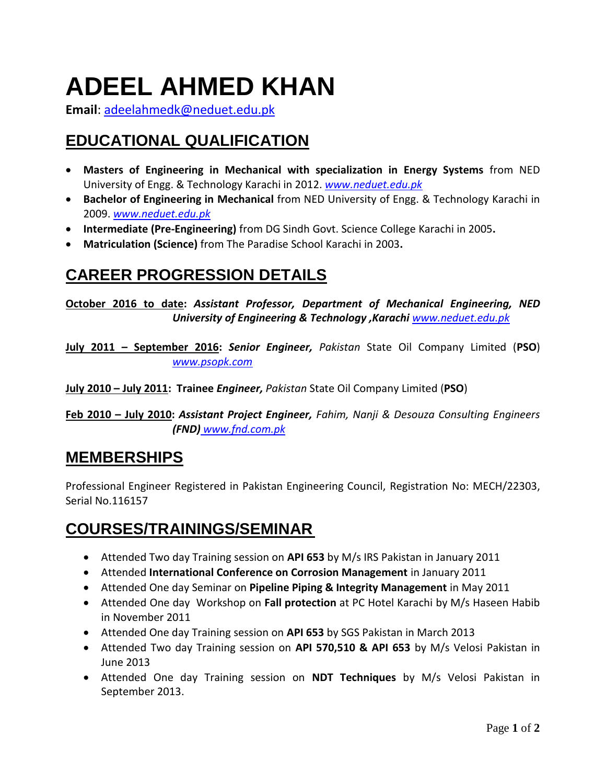# **ADEEL AHMED KHAN**

**Email**: [adeelahmedk@neduet.edu.pk](mailto:adeelahmedk@neduet.edu.pk)

## **EDUCATIONAL QUALIFICATION**

- **Masters of Engineering in Mechanical with specialization in Energy Systems** from NED University of Engg. & Technology Karachi in 2012. *[www.neduet.edu.pk](http://www.neduet.edu.pk/)*
- **Bachelor of Engineering in Mechanical** from NED University of Engg. & Technology Karachi in 2009. *[www.neduet.edu.pk](http://www.neduet.edu.pk/)*
- **Intermediate (Pre-Engineering)** from DG Sindh Govt. Science College Karachi in 2005**.**
- **Matriculation (Science)** from The Paradise School Karachi in 2003**.**

### **CAREER PROGRESSION DETAILS**

**October 2016 to date:** *Assistant Professor, Department of Mechanical Engineering, NED University of Engineering & Technology ,Karachi www.neduet.edu.pk*

**July 2011 – September 2016:** *Senior Engineer, Pakistan* State Oil Company Limited (**PSO**) *www.psopk.com*

**July 2010 – July 2011: Trainee** *Engineer, Pakistan* State Oil Company Limited (**PSO**)

**Feb 2010 – July 2010:** *Assistant Project Engineer, Fahim, Nanji & Desouza Consulting Engineers (FND) www.fnd.com.pk*

#### **MEMBERSHIPS**

Professional Engineer Registered in Pakistan Engineering Council, Registration No: MECH/22303, Serial No.116157

### **COURSES/TRAININGS/SEMINAR**

- Attended Two day Training session on **API 653** by M/s IRS Pakistan in January 2011
- Attended **International Conference on Corrosion Management** in January 2011
- Attended One day Seminar on **Pipeline Piping & Integrity Management** in May 2011
- Attended One day Workshop on **Fall protection** at PC Hotel Karachi by M/s Haseen Habib in November 2011
- Attended One day Training session on **API 653** by SGS Pakistan in March 2013
- Attended Two day Training session on **API 570,510 & API 653** by M/s Velosi Pakistan in June 2013
- Attended One day Training session on **NDT Techniques** by M/s Velosi Pakistan in September 2013.